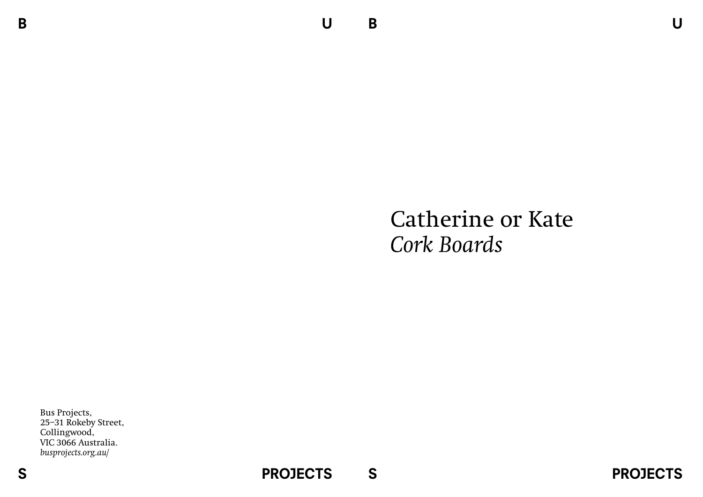B

## Catherine or Kate *Cork Boards*

Bus Projects, 25–31 Rokeby Street, Collingwood, VIC 3066 Australia. *busprojects.org.au/*

S

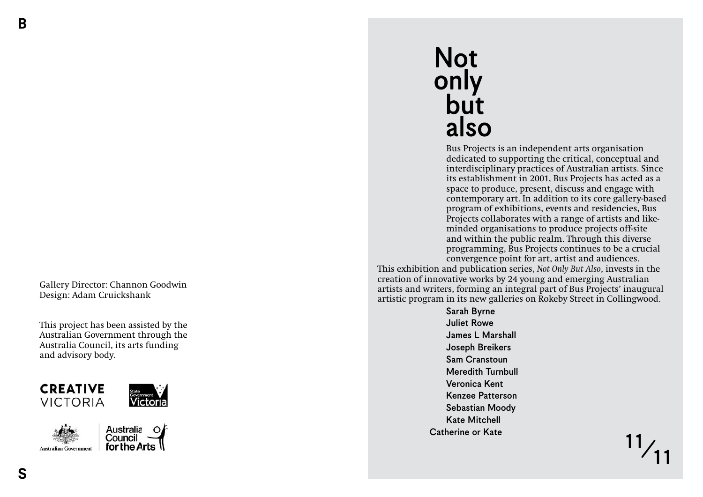Gallery Director: Channon Goodwin Design: Adam Cruickshank

This project has been assisted by the Australian Government through the Australia Council, its arts funding and advisory body.



**Australian Government** 



## Australia Of for the Arts

# **Not** only<br>but also

Bus Projects is an independent arts organisation dedicated to supporting the critical, conceptual and interdisciplinary practices of Australian artists. Since its establishment in 2001, Bus Projects has acted as a space to produce, present, discuss and engage with contemporary art. In addition to its core gallery-based program of exhibitions, events and residencies, Bus Projects collaborates with a range of artists and likeminded organisations to produce projects off-site and within the public realm. Through this diverse programming, Bus Projects continues to be a crucial convergence point for art, artist and audiences.

This exhibition and publication series, *Not Only But Also*, invests in the creation of innovative works by 24 young and emerging Australian artists and writers, forming an integral part of Bus Projects' inaugural artistic program in its new galleries on Rokeby Street in Collingwood.

> Sarah Byrne Juliet RoweJames L Marshall Joseph Breikers Sam Cranstoun Meredith TurnbullVeronica KentKenzee PattersonSebastian Moody Kate MitchellCatherine or Kate $\sim$   $\frac{11}{11}$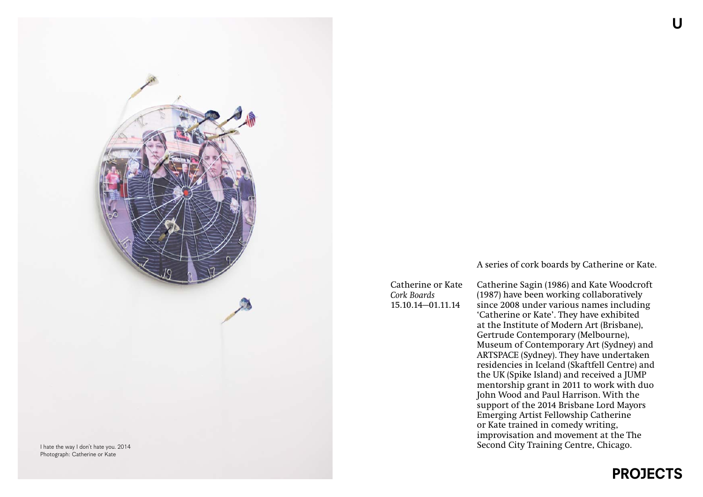

A series of cork boards by Catherine or Kate.

Catherine or Kate*Cork Boards*15.10.14—01.11.14

Catherine Sagin (1986) and Kate Woodcroft (1987) have been working collaboratively since 2008 under various names including 'Catherine or Kate'. They have exhibited at the Institute of Modern Art (Brisbane), Gertrude Contemporary (Melbourne), Museum of Contemporary Art (Sydney) and ARTSPACE (Sydney). They have undertaken residencies in Iceland (Skaftfell Centre) and the UK (Spike Island) and received a JUMP mentorship grant in 2011 to work with duo John Wood and Paul Harrison. With the support of the 2014 Brisbane Lord Mayors Emerging Artist Fellowship Catherine or Kate trained in comedy writing, improvisation and movement at the The Second City Training Centre, Chicago.

## l I

### PROJECTS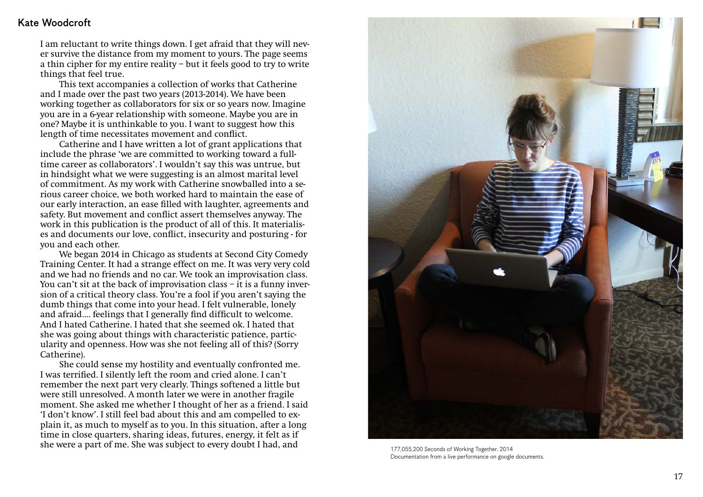### Kate Woodcroft

I am reluctant to write things down. I get afraid that they will never survive the distance from my moment to yours. The page seems a thin cipher for my entire reality  $-$  but it feels good to try to write things that feel true.

This text accompanies a collection of works that Catherine and I made over the past two years (2013-2014). We have been working together as collaborators for six or so years now. Imagine you are in a 6-year relationship with someone. Maybe you are in one? Maybe it is unthinkable to you. I want to suggest how this length of time necessitates movement and conflict.

Catherine and I have written a lot of grant applications that include the phrase 'we are committed to working toward a fulltime career as collaborators'. I wouldn't say this was untrue, but in hindsight what we were suggesting is an almost marital level of commitment. As my work with Catherine snowballed into a serious career choice, we both worked hard to maintain the ease of our early interaction, an ease filled with laughter, agreements and safety. But movement and conflict assert themselves anyway. The work in this publication is the product of all of this. It materialises and documents our love, conflict, insecurity and posturing - for you and each other.

We began 2014 in Chicago as students at Second City Comedy Training Center. It had a strange effect on me. It was very very cold and we had no friends and no car. We took an improvisation class. You can't sit at the back of improvisation class  $-$  it is a funny inversion of a critical theory class. You're a fool if you aren't saying the dumb things that come into your head. I felt vulnerable, lonely and afraid.... feelings that I generally find difficult to welcome. And I hated Catherine. I hated that she seemed ok. I hated that she was going about things with characteristic patience, particularity and openness. How was she not feeling all of this? (Sorry Catherine).

She could sense my hostility and eventually confronted me. I was terrified. I silently left the room and cried alone. I can't remember the next part very clearly. Things softened a little but were still unresolved. A month later we were in another fragile moment. She asked me whether I thought of her as a friend. I said 'I don't know'. I still feel bad about this and am compelled to explain it, as much to myself as to you. In this situation, after a long time in close quarters, sharing ideas, futures, energy, it felt as if she were a part of me. She was subject to every doubt I had, and



177,055,200 Seconds of Working Together. 2014 Documentation from a live performance on google documents.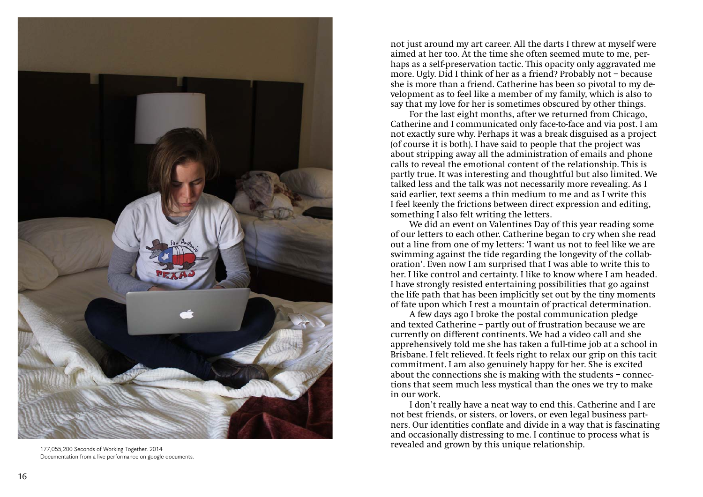

177,055,200 Seconds of Working Together. 2014 Documentation from a live performance on google documents.

not just around my art career. All the darts I threw at myself were aimed at her too. At the time she often seemed mute to me, perhaps as a self-preservation tactic. This opacity only aggravated me more. Ugly. Did I think of her as a friend? Probably not – because she is more than a friend. Catherine has been so pivotal to my development as to feel like a member of my family, which is also to say that my love for her is sometimes obscured by other things.

For the last eight months, after we returned from Chicago, Catherine and I communicated only face-to-face and via post. I am not exactly sure why. Perhaps it was a break disguised as a project (of course it is both). I have said to people that the project was about stripping away all the administration of emails and phone calls to reveal the emotional content of the relationship. This is partly true. It was interesting and thoughtful but also limited. We talked less and the talk was not necessarily more revealing. As I said earlier, text seems a thin medium to me and as I write this I feel keenly the frictions between direct expression and editing, something I also felt writing the letters.

We did an event on Valentines Day of this year reading some of our letters to each other. Catherine began to cry when she read out a line from one of my letters: 'I want us not to feel like we are swimming against the tide regarding the longevity of the collaboration'. Even now I am surprised that I was able to write this to her. I like control and certainty. I like to know where I am headed. I have strongly resisted entertaining possibilities that go against the life path that has been implicitly set out by the tiny moments of fate upon which I rest a mountain of practical determination.

A few days ago I broke the postal communication pledge and texted Catherine – partly out of frustration because we are currently on different continents. We had a video call and she apprehensively told me she has taken a full-time job at a school in Brisbane. I felt relieved. It feels right to relax our grip on this tacit commitment. I am also genuinely happy for her. She is excited about the connections she is making with the students – connections that seem much less mystical than the ones we try to make in our work.

I don't really have a neat way to end this. Catherine and I are not best friends, or sisters, or lovers, or even legal business partners. Our identities conflate and divide in a way that is fascinating and occasionally distressing to me. I continue to process what is revealed and grown by this unique relationship.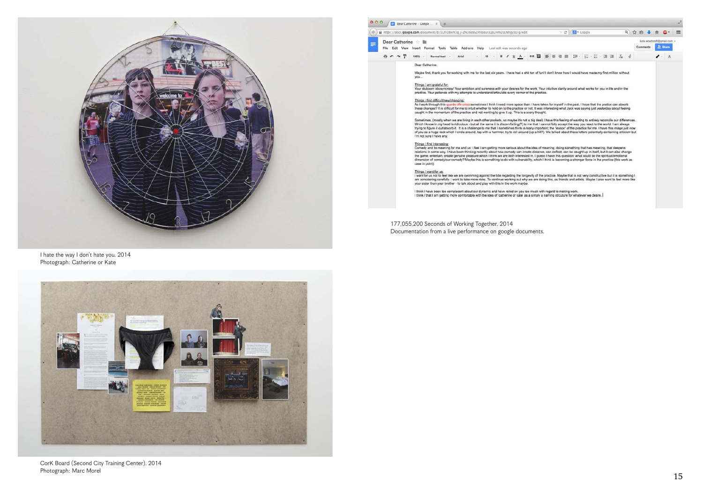

I hate the way I don't hate you. 2014 Photograph: Catherine or Kate



CorK Board (Second City Training Center). 2014 Photograph: Marc Morel



Sometimes, (mostly when we are living in each other pockets, so maybe it's not a big deal) I have this feeling of wanting to entirely reconcile our differences.<br>Which it know in my head is ridculous - but all the same it i

#### Things I find interesting:

Things! Informersing:<br>Comedy and its meaning for me and us: I feel I am getting more serious about the idea of meaning, doing something that has meaning, that deepens<br>relations in some way. I have been thinking recently ab case in point).

Things I want for us:<br>I want for us not to feel like we are swimming against the tide regarding the longevity of the practice. Maybe that is not very constructive but it is something I<br>am considering carefully. I want to t your sister than your brother - to talk about and play with this in the work maybe.

I think I have been too complacent about our dynamic and have relied on you too much with regard to making work. I think / that I am getting more comfortable with the idea of 'catherine or kate' as a simply a naming strouture for whatever we desire.

177,055,200 Seconds of Working Together. 2014 Documentation from a live performance on google documents.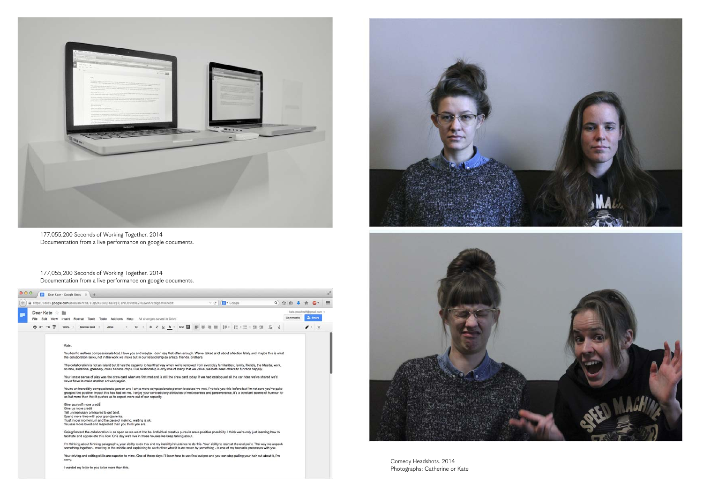

177,055,200 Seconds of Working Together. 2014 Documentation from a live performance on google documents.

#### 177,055,200 Seconds of Working Together. 2014 Documentation from a live performance on google documents.







Comedy Headshots. 2014 Photographs: Catherine or Kate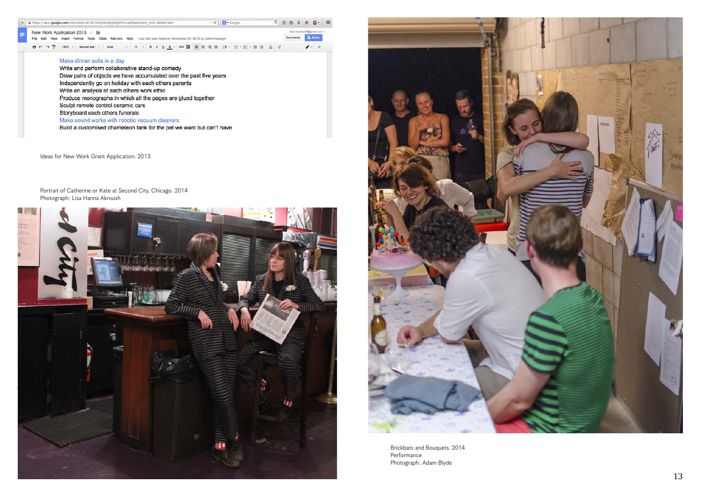

#### Make dinner suits in a day

Write and perform collaborative stand-up comedy Draw pairs of objects we have accumulated over the past five years Independently go on holiday with each others parents Write an analysis of each others work ethic Produce monographs in which all the pages are glued together Sculpt remote control ceramic cars Storyboard each others funerals Make sound works with robotic vacuum cleaners

Build a customised chameleon tank for the pet we want but can't have

Ideas for New Work Grant Application. 2013

Portrait of Catherine or Kate at Second City, Chicago. 2014 Photograph: Lisa Hanna Akroush





Brickbats and Bouquets. 2014 PerformancePhotograph: Adam Blyde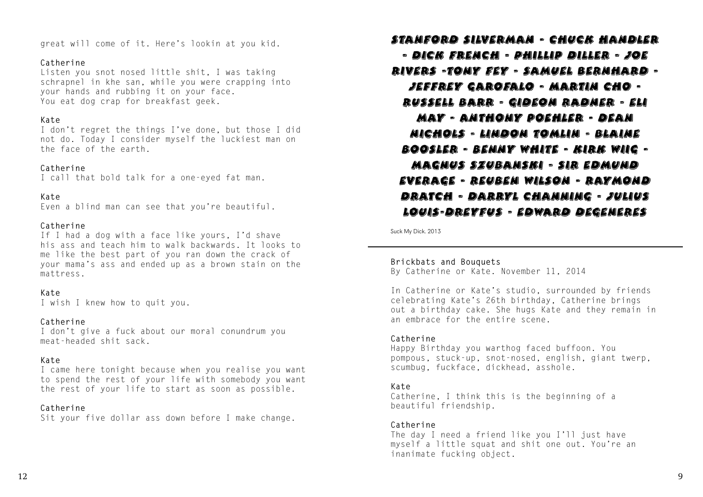great will come of it. Here's lookin at you kid.

#### **Catherine**

Listen you snot nosed little shit, I was taking schrapnel in khe san, while you were crapping into your hands and rubbing it on your face. You eat dog crap for breakfast geek.

#### **Kate**

I don't regret the things I've done, but those I did not do. Today I consider myself the luckiest man on the face of the earth.

#### **Catherine**

I call that bold talk for a one-eyed fat man.

#### **Kate**

Even a blind man can see that you're beautiful.

#### **Catherine**

If I had a dog with a face like yours, I'd shave his ass and teach him to walk backwards. It looks to me like the best part of you ran down the crack of your mama's ass and ended up as a brown stain on the mattress.

#### **Kate**

I wish I knew how to quit you.

#### **Catherine**

I don't give a fuck about our moral conundrum you meat-headed shit sack.

#### **Kate**

I came here tonight because when you realise you want to spend the rest of your life with somebody you want the rest of your life to start as soon as possible.

#### **Catherine**

Sit your five dollar ass down before I make change.

STANFORD SILVERMAN - CHUCK HANDLER - DICK FRENCH - DHILLIP DILLER - JOE RIVERS -TONY FEY - SAMUEL BERNHARD -*JEFFREY CAROFALO - MARTIN CHO -*RUSSELL BARR - GIDEON RADNER - ELI MAY - ANTHONY POEHLER - DEAN MICHOLS - LIMDON TOMLIN - BLAINE BOOSLER - BENNY WHITE - KIRK WIIC -MACNUS SZUBANSKI – SIR EDMUND EVERAGE - REUBEN WILSON - RAYMOND DRATCH - DARRYL CHANNING - JULIUS LOUIS-DREYFUS - EDWARD DEGENERES

Suck My Dick. 2013

#### **Brickbats and Bouquets**

By Catherine or Kate. November 11, 2014

In Catherine or Kate's studio, surrounded by friends celebrating Kate's 26th birthday, Catherine brings out a birthday cake. She hugs Kate and they remain in an embrace for the entire scene.

#### **Catherine**

Happy Birthday you warthog faced buffoon. You pompous, stuck-up, snot-nosed, english, giant twerp, scumbug, fuckface, dickhead, asshole.

#### **Kate**

Catherine, I think this is the beginning of a beautiful friendship.

#### **Catherine**

The day I need a friend like you I'll just have myself a little squat and shit one out. You're an inanimate fucking object.